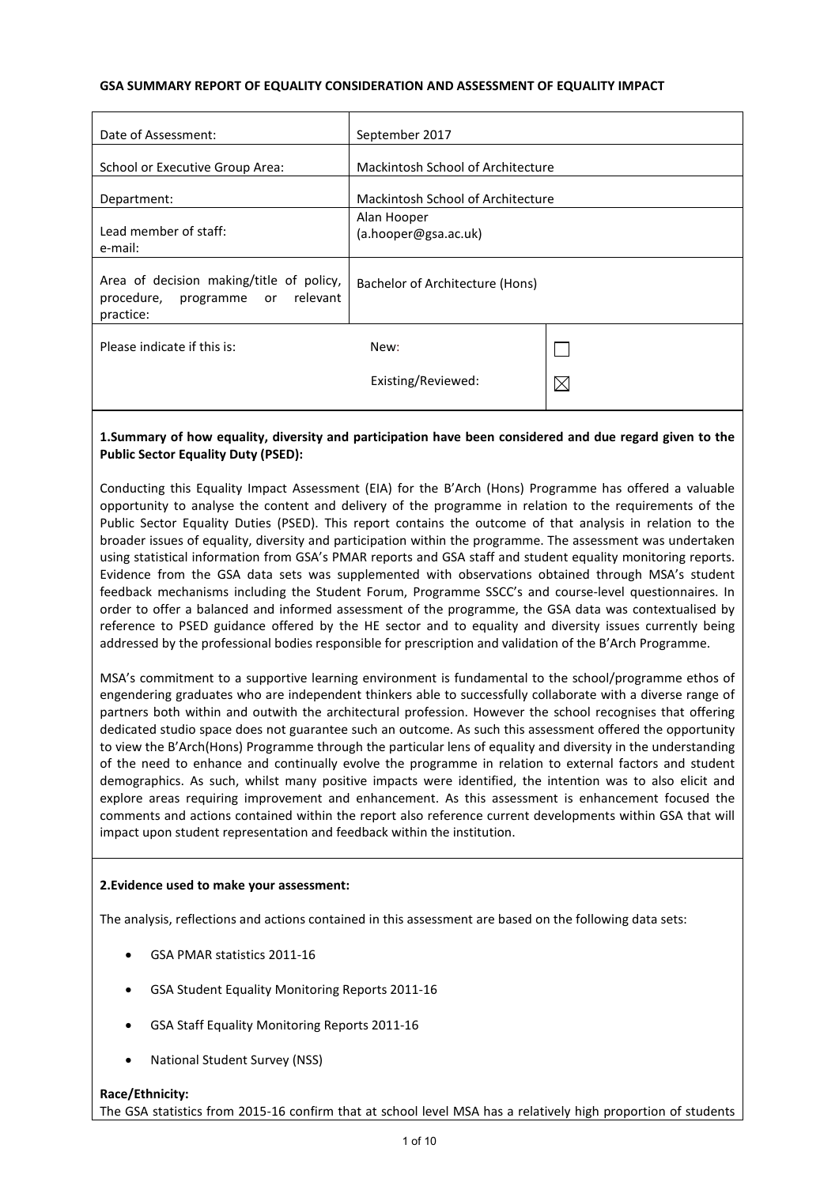### **GSA SUMMARY REPORT OF EQUALITY CONSIDERATION AND ASSESSMENT OF EQUALITY IMPACT**

| Date of Assessment:                                                                          | September 2017                      |             |
|----------------------------------------------------------------------------------------------|-------------------------------------|-------------|
| School or Executive Group Area:                                                              | Mackintosh School of Architecture   |             |
| Department:                                                                                  | Mackintosh School of Architecture   |             |
| Lead member of staff:<br>e-mail:                                                             | Alan Hooper<br>(a.hooper@gsa.ac.uk) |             |
| Area of decision making/title of policy,<br>programme or relevant<br>procedure,<br>practice: | Bachelor of Architecture (Hons)     |             |
| Please indicate if this is:                                                                  | New:                                |             |
|                                                                                              | Existing/Reviewed:                  | $\boxtimes$ |
|                                                                                              |                                     |             |

# **1.Summary of how equality, diversity and participation have been considered and due regard given to the Public Sector Equality Duty (PSED):**

Conducting this Equality Impact Assessment (EIA) for the B'Arch (Hons) Programme has offered a valuable opportunity to analyse the content and delivery of the programme in relation to the requirements of the Public Sector Equality Duties (PSED). This report contains the outcome of that analysis in relation to the broader issues of equality, diversity and participation within the programme. The assessment was undertaken using statistical information from GSA's PMAR reports and GSA staff and student equality monitoring reports. Evidence from the GSA data sets was supplemented with observations obtained through MSA's student feedback mechanisms including the Student Forum, Programme SSCC's and course-level questionnaires. In order to offer a balanced and informed assessment of the programme, the GSA data was contextualised by reference to PSED guidance offered by the HE sector and to equality and diversity issues currently being addressed by the professional bodies responsible for prescription and validation of the B'Arch Programme.

MSA's commitment to a supportive learning environment is fundamental to the school/programme ethos of engendering graduates who are independent thinkers able to successfully collaborate with a diverse range of partners both within and outwith the architectural profession. However the school recognises that offering dedicated studio space does not guarantee such an outcome. As such this assessment offered the opportunity to view the B'Arch(Hons) Programme through the particular lens of equality and diversity in the understanding of the need to enhance and continually evolve the programme in relation to external factors and student demographics. As such, whilst many positive impacts were identified, the intention was to also elicit and explore areas requiring improvement and enhancement. As this assessment is enhancement focused the comments and actions contained within the report also reference current developments within GSA that will impact upon student representation and feedback within the institution.

### **2.Evidence used to make your assessment:**

The analysis, reflections and actions contained in this assessment are based on the following data sets:

- GSA PMAR statistics 2011-16
- GSA Student Equality Monitoring Reports 2011-16
- GSA Staff Equality Monitoring Reports 2011-16
- National Student Survey (NSS)

#### **Race/Ethnicity:**

The GSA statistics from 2015-16 confirm that at school level MSA has a relatively high proportion of students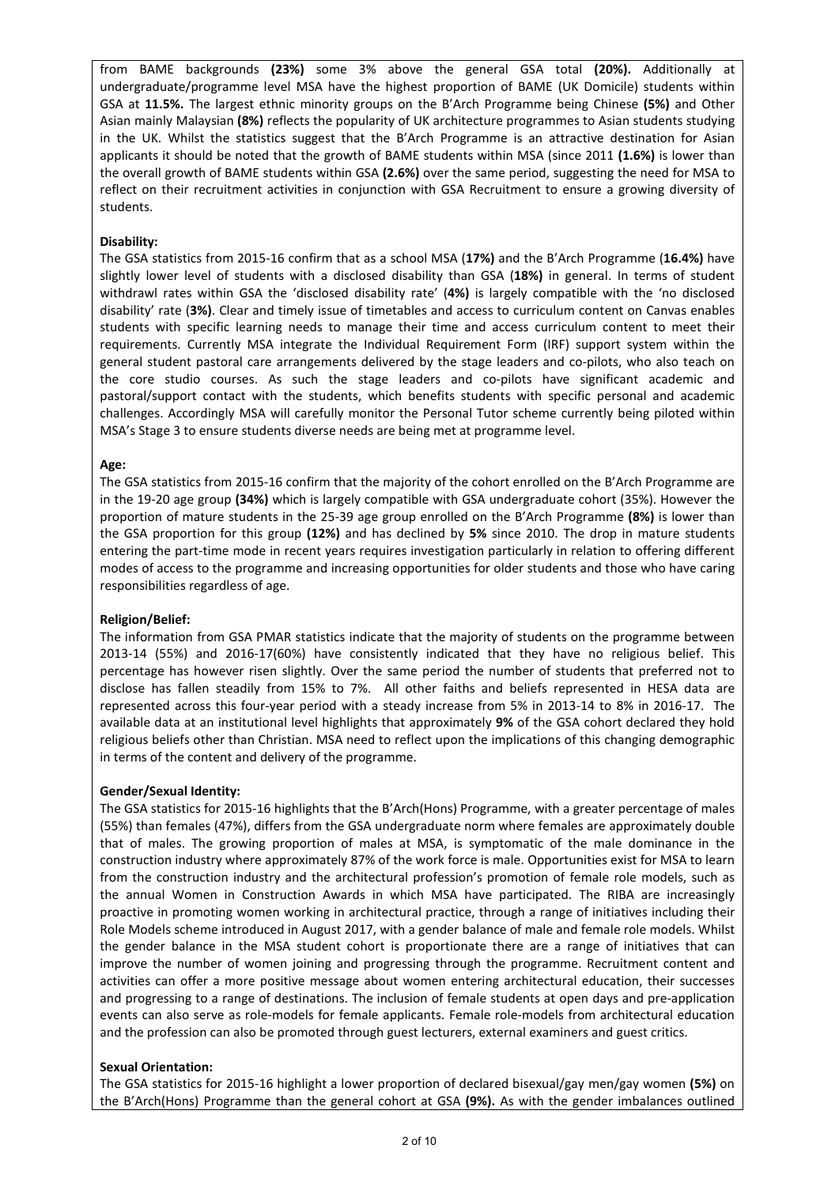from BAME backgrounds **(23%)** some 3% above the general GSA total **(20%).** Additionally at undergraduate/programme level MSA have the highest proportion of BAME (UK Domicile) students within GSA at **11.5%.** The largest ethnic minority groups on the B'Arch Programme being Chinese **(5%)** and Other Asian mainly Malaysian **(8%)** reflects the popularity of UK architecture programmes to Asian students studying in the UK. Whilst the statistics suggest that the B'Arch Programme is an attractive destination for Asian applicants it should be noted that the growth of BAME students within MSA (since 2011 **(1.6%)** is lower than the overall growth of BAME students within GSA **(2.6%)** over the same period, suggesting the need for MSA to reflect on their recruitment activities in conjunction with GSA Recruitment to ensure a growing diversity of students.

### **Disability:**

The GSA statistics from 2015-16 confirm that as a school MSA (**17%)** and the B'Arch Programme (**16.4%)** have slightly lower level of students with a disclosed disability than GSA (**18%)** in general. In terms of student withdrawl rates within GSA the 'disclosed disability rate' (**4%)** is largely compatible with the 'no disclosed disability' rate (**3%)**. Clear and timely issue of timetables and access to curriculum content on Canvas enables students with specific learning needs to manage their time and access curriculum content to meet their requirements. Currently MSA integrate the Individual Requirement Form (IRF) support system within the general student pastoral care arrangements delivered by the stage leaders and co-pilots, who also teach on the core studio courses. As such the stage leaders and co-pilots have significant academic and pastoral/support contact with the students, which benefits students with specific personal and academic challenges. Accordingly MSA will carefully monitor the Personal Tutor scheme currently being piloted within MSA's Stage 3 to ensure students diverse needs are being met at programme level.

#### **Age:**

The GSA statistics from 2015-16 confirm that the majority of the cohort enrolled on the B'Arch Programme are in the 19-20 age group **(34%)** which is largely compatible with GSA undergraduate cohort (35%). However the proportion of mature students in the 25-39 age group enrolled on the B'Arch Programme **(8%)** is lower than the GSA proportion for this group **(12%)** and has declined by **5%** since 2010. The drop in mature students entering the part-time mode in recent years requires investigation particularly in relation to offering different modes of access to the programme and increasing opportunities for older students and those who have caring responsibilities regardless of age.

#### **Religion/Belief:**

The information from GSA PMAR statistics indicate that the majority of students on the programme between 2013-14 (55%) and 2016-17(60%) have consistently indicated that they have no religious belief. This percentage has however risen slightly. Over the same period the number of students that preferred not to disclose has fallen steadily from 15% to 7%. All other faiths and beliefs represented in HESA data are represented across this four-year period with a steady increase from 5% in 2013-14 to 8% in 2016-17. The available data at an institutional level highlights that approximately **9%** of the GSA cohort declared they hold religious beliefs other than Christian. MSA need to reflect upon the implications of this changing demographic in terms of the content and delivery of the programme.

#### **Gender/Sexual Identity:**

The GSA statistics for 2015-16 highlights that the B'Arch(Hons) Programme, with a greater percentage of males (55%) than females (47%), differs from the GSA undergraduate norm where females are approximately double that of males. The growing proportion of males at MSA, is symptomatic of the male dominance in the construction industry where approximately 87% of the work force is male. Opportunities exist for MSA to learn from the construction industry and the architectural profession's promotion of female role models, such as the annual Women in Construction Awards in which MSA have participated. The RIBA are increasingly proactive in promoting women working in architectural practice, through a range of initiatives including their Role Models scheme introduced in August 2017, with a gender balance of male and female role models. Whilst the gender balance in the MSA student cohort is proportionate there are a range of initiatives that can improve the number of women joining and progressing through the programme. Recruitment content and activities can offer a more positive message about women entering architectural education, their successes and progressing to a range of destinations. The inclusion of female students at open days and pre-application events can also serve as role-models for female applicants. Female role-models from architectural education and the profession can also be promoted through guest lecturers, external examiners and guest critics.

#### **Sexual Orientation:**

The GSA statistics for 2015-16 highlight a lower proportion of declared bisexual/gay men/gay women **(5%)** on the B'Arch(Hons) Programme than the general cohort at GSA **(9%).** As with the gender imbalances outlined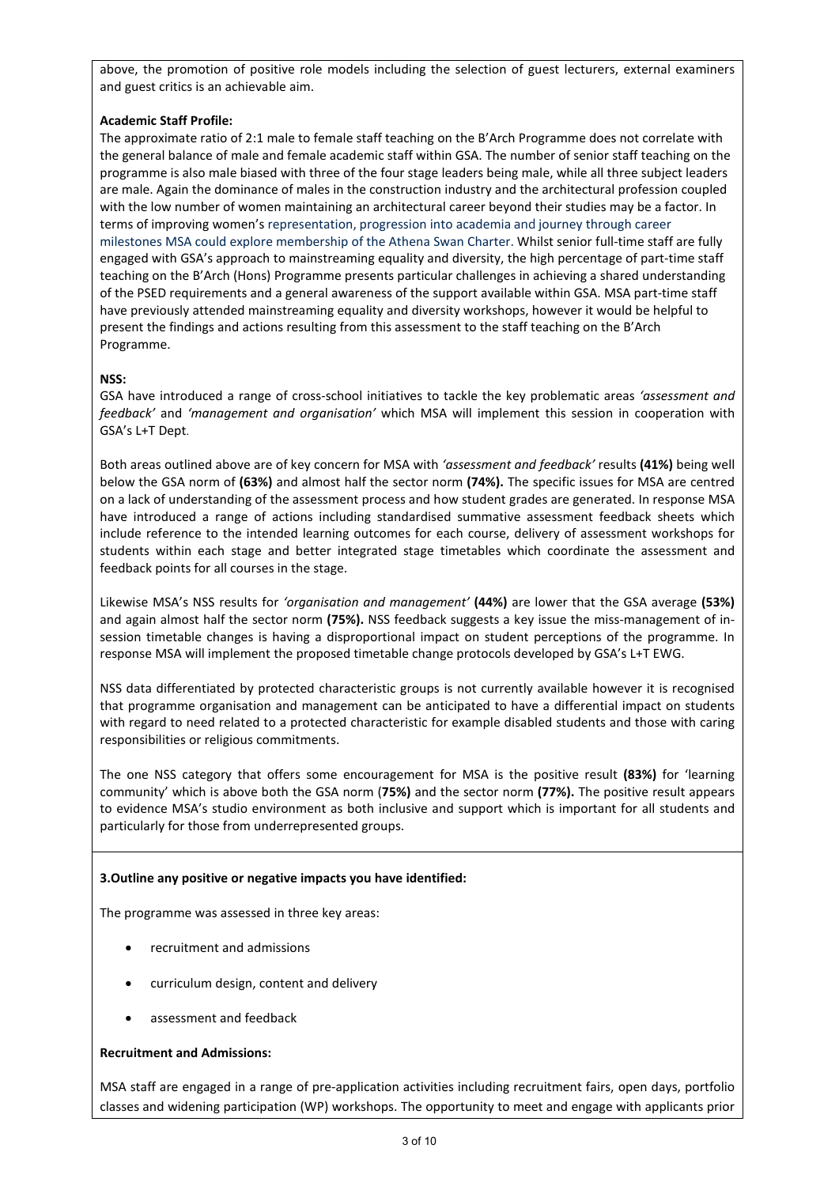above, the promotion of positive role models including the selection of guest lecturers, external examiners and guest critics is an achievable aim.

# **Academic Staff Profile:**

The approximate ratio of 2:1 male to female staff teaching on the B'Arch Programme does not correlate with the general balance of male and female academic staff within GSA. The number of senior staff teaching on the programme is also male biased with three of the four stage leaders being male, while all three subject leaders are male. Again the dominance of males in the construction industry and the architectural profession coupled with the low number of women maintaining an architectural career beyond their studies may be a factor. In terms of improving women's representation, progression into academia and journey through career milestones MSA could explore membership of the Athena Swan Charter. Whilst senior full-time staff are fully engaged with GSA's approach to mainstreaming equality and diversity, the high percentage of part-time staff teaching on the B'Arch (Hons) Programme presents particular challenges in achieving a shared understanding of the PSED requirements and a general awareness of the support available within GSA. MSA part-time staff have previously attended mainstreaming equality and diversity workshops, however it would be helpful to present the findings and actions resulting from this assessment to the staff teaching on the B'Arch Programme.

# **NSS:**

GSA have introduced a range of cross-school initiatives to tackle the key problematic areas *'assessment and feedback'* and *'management and organisation'* which MSA will implement this session in cooperation with GSA's L+T Dept.

Both areas outlined above are of key concern for MSA with *'assessment and feedback'* results **(41%)** being well below the GSA norm of **(63%)** and almost half the sector norm **(74%).** The specific issues for MSA are centred on a lack of understanding of the assessment process and how student grades are generated. In response MSA have introduced a range of actions including standardised summative assessment feedback sheets which include reference to the intended learning outcomes for each course, delivery of assessment workshops for students within each stage and better integrated stage timetables which coordinate the assessment and feedback points for all courses in the stage.

Likewise MSA's NSS results for *'organisation and management'* **(44%)** are lower that the GSA average **(53%)** and again almost half the sector norm **(75%).** NSS feedback suggests a key issue the miss-management of insession timetable changes is having a disproportional impact on student perceptions of the programme. In response MSA will implement the proposed timetable change protocols developed by GSA's L+T EWG.

NSS data differentiated by protected characteristic groups is not currently available however it is recognised that programme organisation and management can be anticipated to have a differential impact on students with regard to need related to a protected characteristic for example disabled students and those with caring responsibilities or religious commitments.

The one NSS category that offers some encouragement for MSA is the positive result **(83%)** for 'learning community' which is above both the GSA norm (**75%)** and the sector norm **(77%).** The positive result appears to evidence MSA's studio environment as both inclusive and support which is important for all students and particularly for those from underrepresented groups.

# **3.Outline any positive or negative impacts you have identified:**

The programme was assessed in three key areas:

- recruitment and admissions
- curriculum design, content and delivery
- assessment and feedback

### **Recruitment and Admissions:**

MSA staff are engaged in a range of pre-application activities including recruitment fairs, open days, portfolio classes and widening participation (WP) workshops. The opportunity to meet and engage with applicants prior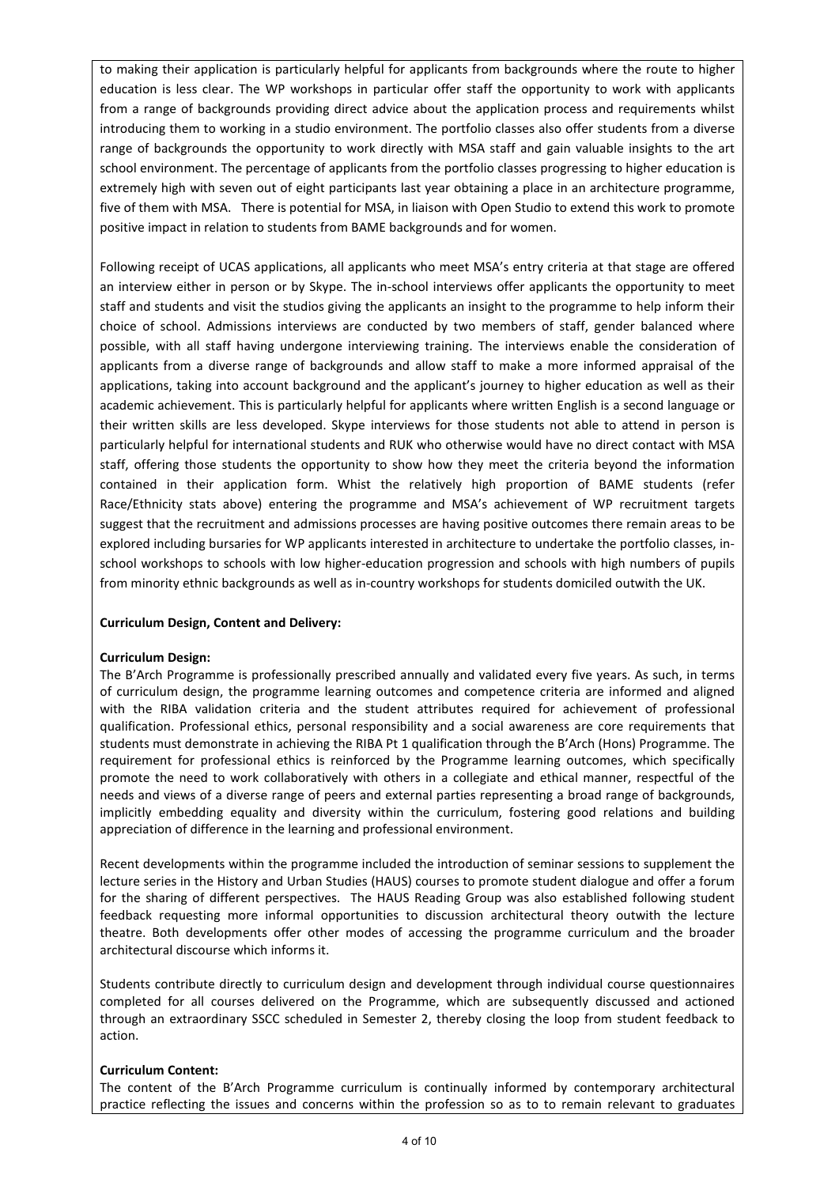to making their application is particularly helpful for applicants from backgrounds where the route to higher education is less clear. The WP workshops in particular offer staff the opportunity to work with applicants from a range of backgrounds providing direct advice about the application process and requirements whilst introducing them to working in a studio environment. The portfolio classes also offer students from a diverse range of backgrounds the opportunity to work directly with MSA staff and gain valuable insights to the art school environment. The percentage of applicants from the portfolio classes progressing to higher education is extremely high with seven out of eight participants last year obtaining a place in an architecture programme, five of them with MSA. There is potential for MSA, in liaison with Open Studio to extend this work to promote positive impact in relation to students from BAME backgrounds and for women.

Following receipt of UCAS applications, all applicants who meet MSA's entry criteria at that stage are offered an interview either in person or by Skype. The in-school interviews offer applicants the opportunity to meet staff and students and visit the studios giving the applicants an insight to the programme to help inform their choice of school. Admissions interviews are conducted by two members of staff, gender balanced where possible, with all staff having undergone interviewing training. The interviews enable the consideration of applicants from a diverse range of backgrounds and allow staff to make a more informed appraisal of the applications, taking into account background and the applicant's journey to higher education as well as their academic achievement. This is particularly helpful for applicants where written English is a second language or their written skills are less developed. Skype interviews for those students not able to attend in person is particularly helpful for international students and RUK who otherwise would have no direct contact with MSA staff, offering those students the opportunity to show how they meet the criteria beyond the information contained in their application form. Whist the relatively high proportion of BAME students (refer Race/Ethnicity stats above) entering the programme and MSA's achievement of WP recruitment targets suggest that the recruitment and admissions processes are having positive outcomes there remain areas to be explored including bursaries for WP applicants interested in architecture to undertake the portfolio classes, inschool workshops to schools with low higher-education progression and schools with high numbers of pupils from minority ethnic backgrounds as well as in-country workshops for students domiciled outwith the UK.

#### **Curriculum Design, Content and Delivery:**

#### **Curriculum Design:**

The B'Arch Programme is professionally prescribed annually and validated every five years. As such, in terms of curriculum design, the programme learning outcomes and competence criteria are informed and aligned with the RIBA validation criteria and the student attributes required for achievement of professional qualification. Professional ethics, personal responsibility and a social awareness are core requirements that students must demonstrate in achieving the RIBA Pt 1 qualification through the B'Arch (Hons) Programme. The requirement for professional ethics is reinforced by the Programme learning outcomes, which specifically promote the need to work collaboratively with others in a collegiate and ethical manner, respectful of the needs and views of a diverse range of peers and external parties representing a broad range of backgrounds, implicitly embedding equality and diversity within the curriculum, fostering good relations and building appreciation of difference in the learning and professional environment.

Recent developments within the programme included the introduction of seminar sessions to supplement the lecture series in the History and Urban Studies (HAUS) courses to promote student dialogue and offer a forum for the sharing of different perspectives. The HAUS Reading Group was also established following student feedback requesting more informal opportunities to discussion architectural theory outwith the lecture theatre. Both developments offer other modes of accessing the programme curriculum and the broader architectural discourse which informs it.

Students contribute directly to curriculum design and development through individual course questionnaires completed for all courses delivered on the Programme, which are subsequently discussed and actioned through an extraordinary SSCC scheduled in Semester 2, thereby closing the loop from student feedback to action.

#### **Curriculum Content:**

The content of the B'Arch Programme curriculum is continually informed by contemporary architectural practice reflecting the issues and concerns within the profession so as to to remain relevant to graduates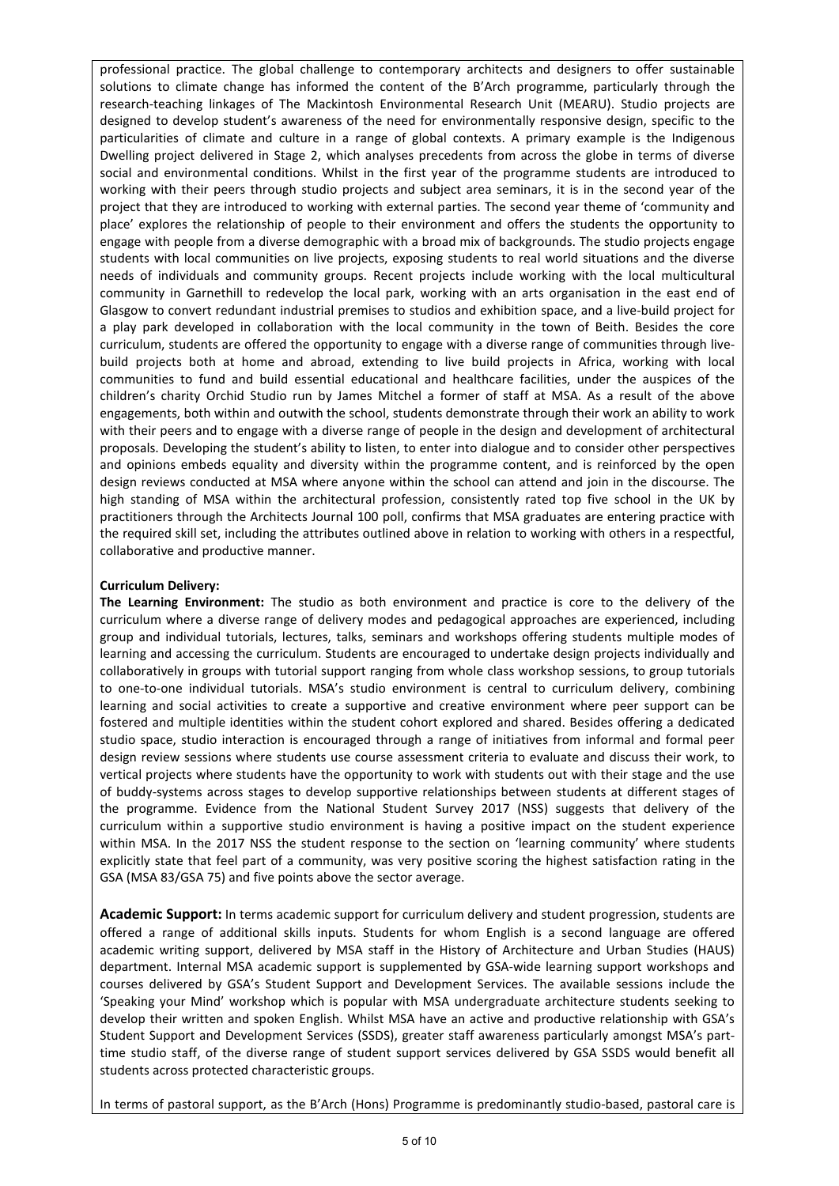professional practice. The global challenge to contemporary architects and designers to offer sustainable solutions to climate change has informed the content of the B'Arch programme, particularly through the research-teaching linkages of The Mackintosh Environmental Research Unit (MEARU). Studio projects are designed to develop student's awareness of the need for environmentally responsive design, specific to the particularities of climate and culture in a range of global contexts. A primary example is the Indigenous Dwelling project delivered in Stage 2, which analyses precedents from across the globe in terms of diverse social and environmental conditions. Whilst in the first year of the programme students are introduced to working with their peers through studio projects and subject area seminars, it is in the second year of the project that they are introduced to working with external parties. The second year theme of 'community and place' explores the relationship of people to their environment and offers the students the opportunity to engage with people from a diverse demographic with a broad mix of backgrounds. The studio projects engage students with local communities on live projects, exposing students to real world situations and the diverse needs of individuals and community groups. Recent projects include working with the local multicultural community in Garnethill to redevelop the local park, working with an arts organisation in the east end of Glasgow to convert redundant industrial premises to studios and exhibition space, and a live-build project for a play park developed in collaboration with the local community in the town of Beith. Besides the core curriculum, students are offered the opportunity to engage with a diverse range of communities through livebuild projects both at home and abroad, extending to live build projects in Africa, working with local communities to fund and build essential educational and healthcare facilities, under the auspices of the children's charity Orchid Studio run by James Mitchel a former of staff at MSA. As a result of the above engagements, both within and outwith the school, students demonstrate through their work an ability to work with their peers and to engage with a diverse range of people in the design and development of architectural proposals. Developing the student's ability to listen, to enter into dialogue and to consider other perspectives and opinions embeds equality and diversity within the programme content, and is reinforced by the open design reviews conducted at MSA where anyone within the school can attend and join in the discourse. The high standing of MSA within the architectural profession, consistently rated top five school in the UK by practitioners through the Architects Journal 100 poll, confirms that MSA graduates are entering practice with the required skill set, including the attributes outlined above in relation to working with others in a respectful, collaborative and productive manner.

### **Curriculum Delivery:**

**The Learning Environment:** The studio as both environment and practice is core to the delivery of the curriculum where a diverse range of delivery modes and pedagogical approaches are experienced, including group and individual tutorials, lectures, talks, seminars and workshops offering students multiple modes of learning and accessing the curriculum. Students are encouraged to undertake design projects individually and collaboratively in groups with tutorial support ranging from whole class workshop sessions, to group tutorials to one-to-one individual tutorials. MSA's studio environment is central to curriculum delivery, combining learning and social activities to create a supportive and creative environment where peer support can be fostered and multiple identities within the student cohort explored and shared. Besides offering a dedicated studio space, studio interaction is encouraged through a range of initiatives from informal and formal peer design review sessions where students use course assessment criteria to evaluate and discuss their work, to vertical projects where students have the opportunity to work with students out with their stage and the use of buddy-systems across stages to develop supportive relationships between students at different stages of the programme. Evidence from the National Student Survey 2017 (NSS) suggests that delivery of the curriculum within a supportive studio environment is having a positive impact on the student experience within MSA. In the 2017 NSS the student response to the section on 'learning community' where students explicitly state that feel part of a community, was very positive scoring the highest satisfaction rating in the GSA (MSA 83/GSA 75) and five points above the sector average.

**Academic Support:** In terms academic support for curriculum delivery and student progression, students are offered a range of additional skills inputs. Students for whom English is a second language are offered academic writing support, delivered by MSA staff in the History of Architecture and Urban Studies (HAUS) department. Internal MSA academic support is supplemented by GSA-wide learning support workshops and courses delivered by GSA's Student Support and Development Services. The available sessions include the 'Speaking your Mind' workshop which is popular with MSA undergraduate architecture students seeking to develop their written and spoken English. Whilst MSA have an active and productive relationship with GSA's Student Support and Development Services (SSDS), greater staff awareness particularly amongst MSA's parttime studio staff, of the diverse range of student support services delivered by GSA SSDS would benefit all students across protected characteristic groups.

In terms of pastoral support, as the B'Arch (Hons) Programme is predominantly studio-based, pastoral care is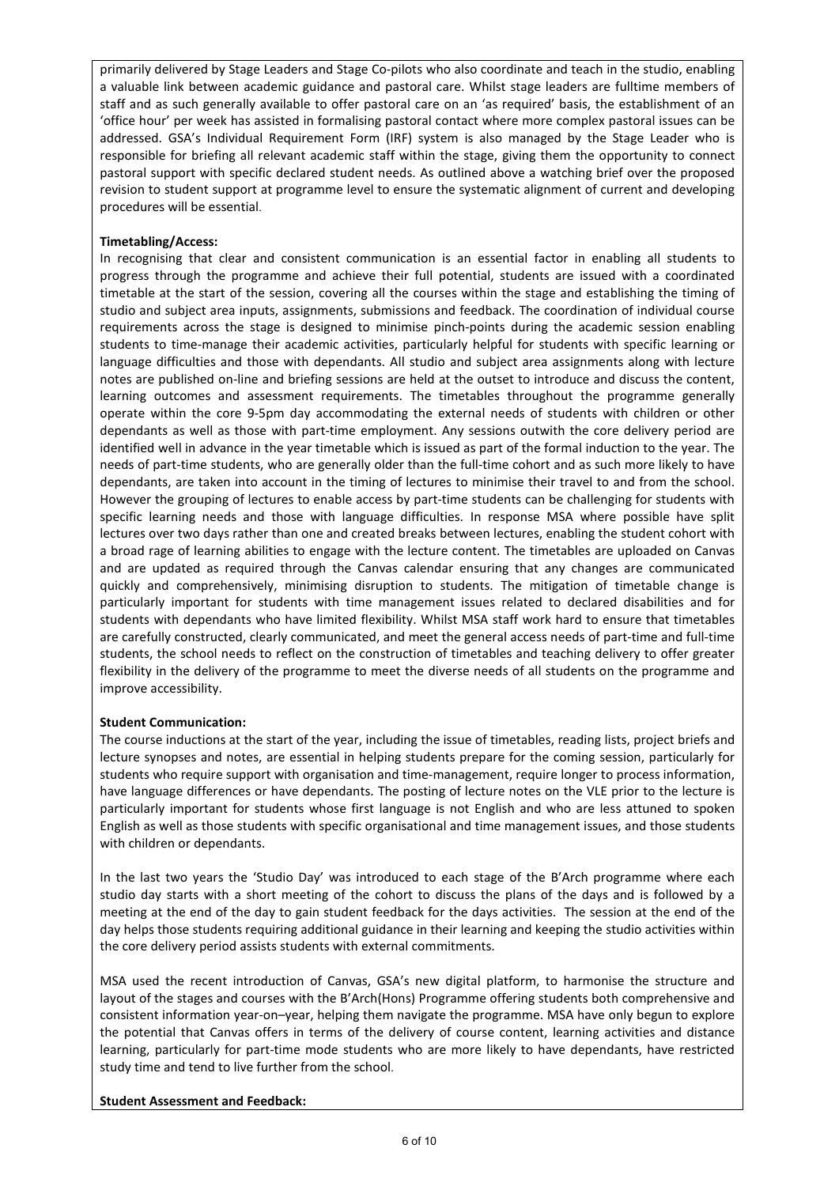primarily delivered by Stage Leaders and Stage Co-pilots who also coordinate and teach in the studio, enabling a valuable link between academic guidance and pastoral care. Whilst stage leaders are fulltime members of staff and as such generally available to offer pastoral care on an 'as required' basis, the establishment of an 'office hour' per week has assisted in formalising pastoral contact where more complex pastoral issues can be addressed. GSA's Individual Requirement Form (IRF) system is also managed by the Stage Leader who is responsible for briefing all relevant academic staff within the stage, giving them the opportunity to connect pastoral support with specific declared student needs. As outlined above a watching brief over the proposed revision to student support at programme level to ensure the systematic alignment of current and developing procedures will be essential.

# **Timetabling/Access:**

In recognising that clear and consistent communication is an essential factor in enabling all students to progress through the programme and achieve their full potential, students are issued with a coordinated timetable at the start of the session, covering all the courses within the stage and establishing the timing of studio and subject area inputs, assignments, submissions and feedback. The coordination of individual course requirements across the stage is designed to minimise pinch-points during the academic session enabling students to time-manage their academic activities, particularly helpful for students with specific learning or language difficulties and those with dependants. All studio and subject area assignments along with lecture notes are published on-line and briefing sessions are held at the outset to introduce and discuss the content, learning outcomes and assessment requirements. The timetables throughout the programme generally operate within the core 9-5pm day accommodating the external needs of students with children or other dependants as well as those with part-time employment. Any sessions outwith the core delivery period are identified well in advance in the year timetable which is issued as part of the formal induction to the year. The needs of part-time students, who are generally older than the full-time cohort and as such more likely to have dependants, are taken into account in the timing of lectures to minimise their travel to and from the school. However the grouping of lectures to enable access by part-time students can be challenging for students with specific learning needs and those with language difficulties. In response MSA where possible have split lectures over two days rather than one and created breaks between lectures, enabling the student cohort with a broad rage of learning abilities to engage with the lecture content. The timetables are uploaded on Canvas and are updated as required through the Canvas calendar ensuring that any changes are communicated quickly and comprehensively, minimising disruption to students. The mitigation of timetable change is particularly important for students with time management issues related to declared disabilities and for students with dependants who have limited flexibility. Whilst MSA staff work hard to ensure that timetables are carefully constructed, clearly communicated, and meet the general access needs of part-time and full-time students, the school needs to reflect on the construction of timetables and teaching delivery to offer greater flexibility in the delivery of the programme to meet the diverse needs of all students on the programme and improve accessibility.

### **Student Communication:**

The course inductions at the start of the year, including the issue of timetables, reading lists, project briefs and lecture synopses and notes, are essential in helping students prepare for the coming session, particularly for students who require support with organisation and time-management, require longer to process information, have language differences or have dependants. The posting of lecture notes on the VLE prior to the lecture is particularly important for students whose first language is not English and who are less attuned to spoken English as well as those students with specific organisational and time management issues, and those students with children or dependants.

In the last two years the 'Studio Day' was introduced to each stage of the B'Arch programme where each studio day starts with a short meeting of the cohort to discuss the plans of the days and is followed by a meeting at the end of the day to gain student feedback for the days activities. The session at the end of the day helps those students requiring additional guidance in their learning and keeping the studio activities within the core delivery period assists students with external commitments.

MSA used the recent introduction of Canvas, GSA's new digital platform, to harmonise the structure and layout of the stages and courses with the B'Arch(Hons) Programme offering students both comprehensive and consistent information year-on–year, helping them navigate the programme. MSA have only begun to explore the potential that Canvas offers in terms of the delivery of course content, learning activities and distance learning, particularly for part-time mode students who are more likely to have dependants, have restricted study time and tend to live further from the school.

**Student Assessment and Feedback:**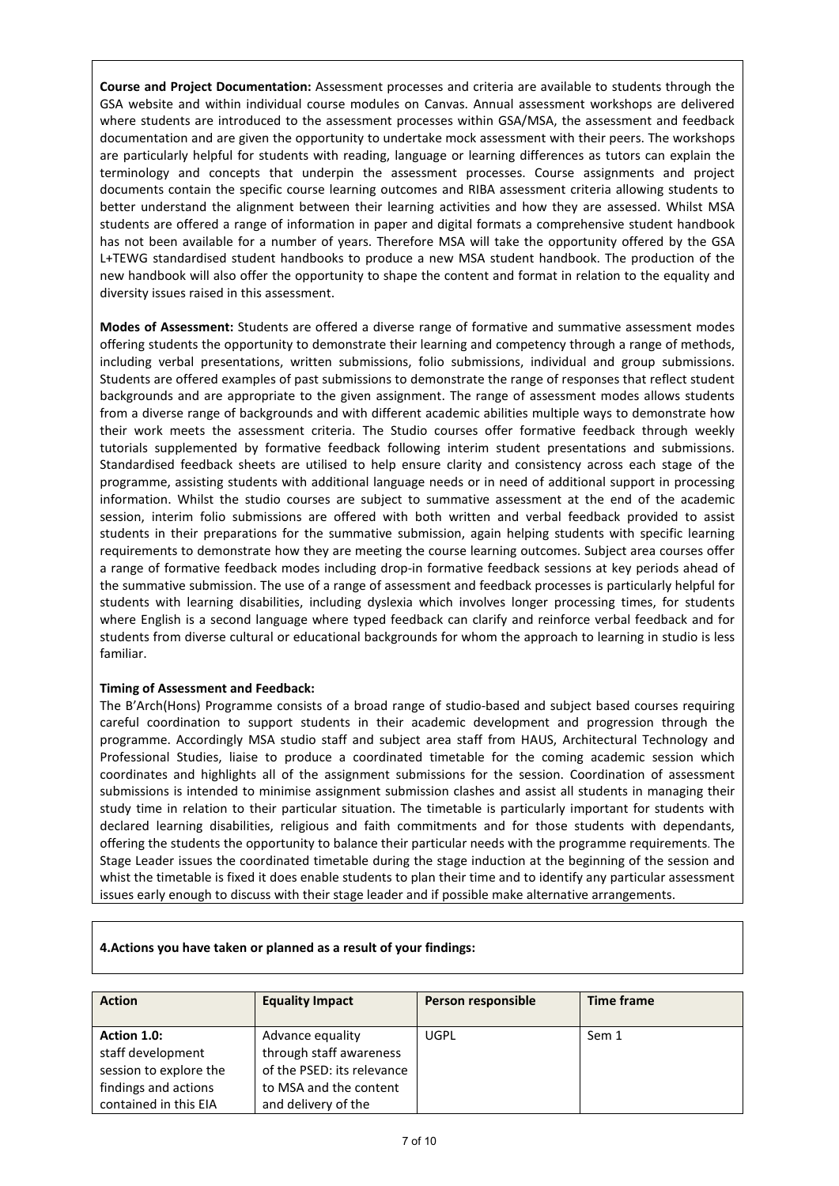**Course and Project Documentation:** Assessment processes and criteria are available to students through the GSA website and within individual course modules on Canvas. Annual assessment workshops are delivered where students are introduced to the assessment processes within GSA/MSA, the assessment and feedback documentation and are given the opportunity to undertake mock assessment with their peers. The workshops are particularly helpful for students with reading, language or learning differences as tutors can explain the terminology and concepts that underpin the assessment processes. Course assignments and project documents contain the specific course learning outcomes and RIBA assessment criteria allowing students to better understand the alignment between their learning activities and how they are assessed. Whilst MSA students are offered a range of information in paper and digital formats a comprehensive student handbook has not been available for a number of years. Therefore MSA will take the opportunity offered by the GSA L+TEWG standardised student handbooks to produce a new MSA student handbook. The production of the new handbook will also offer the opportunity to shape the content and format in relation to the equality and diversity issues raised in this assessment.

**Modes of Assessment:** Students are offered a diverse range of formative and summative assessment modes offering students the opportunity to demonstrate their learning and competency through a range of methods, including verbal presentations, written submissions, folio submissions, individual and group submissions. Students are offered examples of past submissions to demonstrate the range of responses that reflect student backgrounds and are appropriate to the given assignment. The range of assessment modes allows students from a diverse range of backgrounds and with different academic abilities multiple ways to demonstrate how their work meets the assessment criteria. The Studio courses offer formative feedback through weekly tutorials supplemented by formative feedback following interim student presentations and submissions. Standardised feedback sheets are utilised to help ensure clarity and consistency across each stage of the programme, assisting students with additional language needs or in need of additional support in processing information. Whilst the studio courses are subject to summative assessment at the end of the academic session, interim folio submissions are offered with both written and verbal feedback provided to assist students in their preparations for the summative submission, again helping students with specific learning requirements to demonstrate how they are meeting the course learning outcomes. Subject area courses offer a range of formative feedback modes including drop-in formative feedback sessions at key periods ahead of the summative submission. The use of a range of assessment and feedback processes is particularly helpful for students with learning disabilities, including dyslexia which involves longer processing times, for students where English is a second language where typed feedback can clarify and reinforce verbal feedback and for students from diverse cultural or educational backgrounds for whom the approach to learning in studio is less familiar.

### **Timing of Assessment and Feedback:**

The B'Arch(Hons) Programme consists of a broad range of studio-based and subject based courses requiring careful coordination to support students in their academic development and progression through the programme. Accordingly MSA studio staff and subject area staff from HAUS, Architectural Technology and Professional Studies, liaise to produce a coordinated timetable for the coming academic session which coordinates and highlights all of the assignment submissions for the session. Coordination of assessment submissions is intended to minimise assignment submission clashes and assist all students in managing their study time in relation to their particular situation. The timetable is particularly important for students with declared learning disabilities, religious and faith commitments and for those students with dependants, offering the students the opportunity to balance their particular needs with the programme requirements. The Stage Leader issues the coordinated timetable during the stage induction at the beginning of the session and whist the timetable is fixed it does enable students to plan their time and to identify any particular assessment issues early enough to discuss with their stage leader and if possible make alternative arrangements.

| <b>Action</b>          | <b>Equality Impact</b>     | Person responsible | <b>Time frame</b> |
|------------------------|----------------------------|--------------------|-------------------|
|                        |                            |                    |                   |
| Action 1.0:            | Advance equality           | UGPL               | Sem 1             |
| staff development      | through staff awareness    |                    |                   |
| session to explore the | of the PSED: its relevance |                    |                   |
| findings and actions   | to MSA and the content     |                    |                   |
| contained in this EIA  | and delivery of the        |                    |                   |

#### **4.Actions you have taken or planned as a result of your findings:**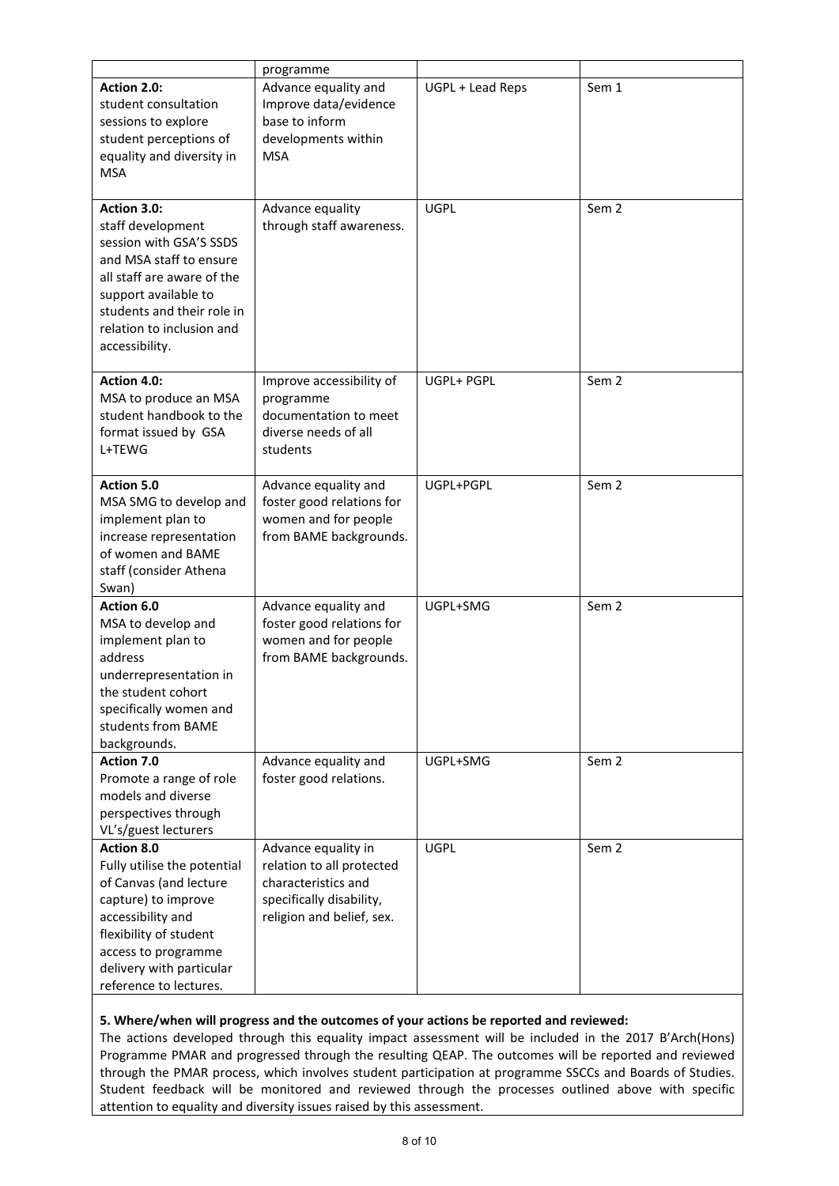|                                                                                                                                                                                                                           | programme                                                                                                                        |                  |                  |
|---------------------------------------------------------------------------------------------------------------------------------------------------------------------------------------------------------------------------|----------------------------------------------------------------------------------------------------------------------------------|------------------|------------------|
| Action 2.0:<br>student consultation<br>sessions to explore<br>student perceptions of<br>equality and diversity in<br><b>MSA</b>                                                                                           | Advance equality and<br>Improve data/evidence<br>base to inform<br>developments within<br><b>MSA</b>                             | UGPL + Lead Reps | Sem 1            |
| Action 3.0:<br>staff development<br>session with GSA'S SSDS<br>and MSA staff to ensure<br>all staff are aware of the<br>support available to<br>students and their role in<br>relation to inclusion and<br>accessibility. | Advance equality<br>through staff awareness.                                                                                     | <b>UGPL</b>      | Sem <sub>2</sub> |
| Action 4.0:<br>MSA to produce an MSA<br>student handbook to the<br>format issued by GSA<br>L+TEWG                                                                                                                         | Improve accessibility of<br>programme<br>documentation to meet<br>diverse needs of all<br>students                               | UGPL+ PGPL       | Sem <sub>2</sub> |
| Action 5.0<br>MSA SMG to develop and<br>implement plan to<br>increase representation<br>of women and BAME<br>staff (consider Athena<br>Swan)                                                                              | Advance equality and<br>foster good relations for<br>women and for people<br>from BAME backgrounds.                              | UGPL+PGPL        | Sem <sub>2</sub> |
| Action 6.0<br>MSA to develop and<br>implement plan to<br>address<br>underrepresentation in<br>the student cohort<br>specifically women and<br>students from BAME<br>backgrounds.                                          | Advance equality and<br>foster good relations for<br>women and for people<br>from BAME backgrounds.                              | UGPL+SMG         | Sem <sub>2</sub> |
| Action 7.0<br>Promote a range of role<br>models and diverse<br>perspectives through<br>VL's/guest lecturers                                                                                                               | Advance equality and<br>foster good relations.                                                                                   | UGPL+SMG         | Sem <sub>2</sub> |
| Action 8.0<br>Fully utilise the potential<br>of Canvas (and lecture<br>capture) to improve<br>accessibility and<br>flexibility of student<br>access to programme<br>delivery with particular<br>reference to lectures.    | Advance equality in<br>relation to all protected<br>characteristics and<br>specifically disability,<br>religion and belief, sex. | <b>UGPL</b>      | Sem <sub>2</sub> |

### **5. Where/when will progress and the outcomes of your actions be reported and reviewed:**

The actions developed through this equality impact assessment will be included in the 2017 B'Arch(Hons) Programme PMAR and progressed through the resulting QEAP. The outcomes will be reported and reviewed through the PMAR process, which involves student participation at programme SSCCs and Boards of Studies. Student feedback will be monitored and reviewed through the processes outlined above with specific attention to equality and diversity issues raised by this assessment.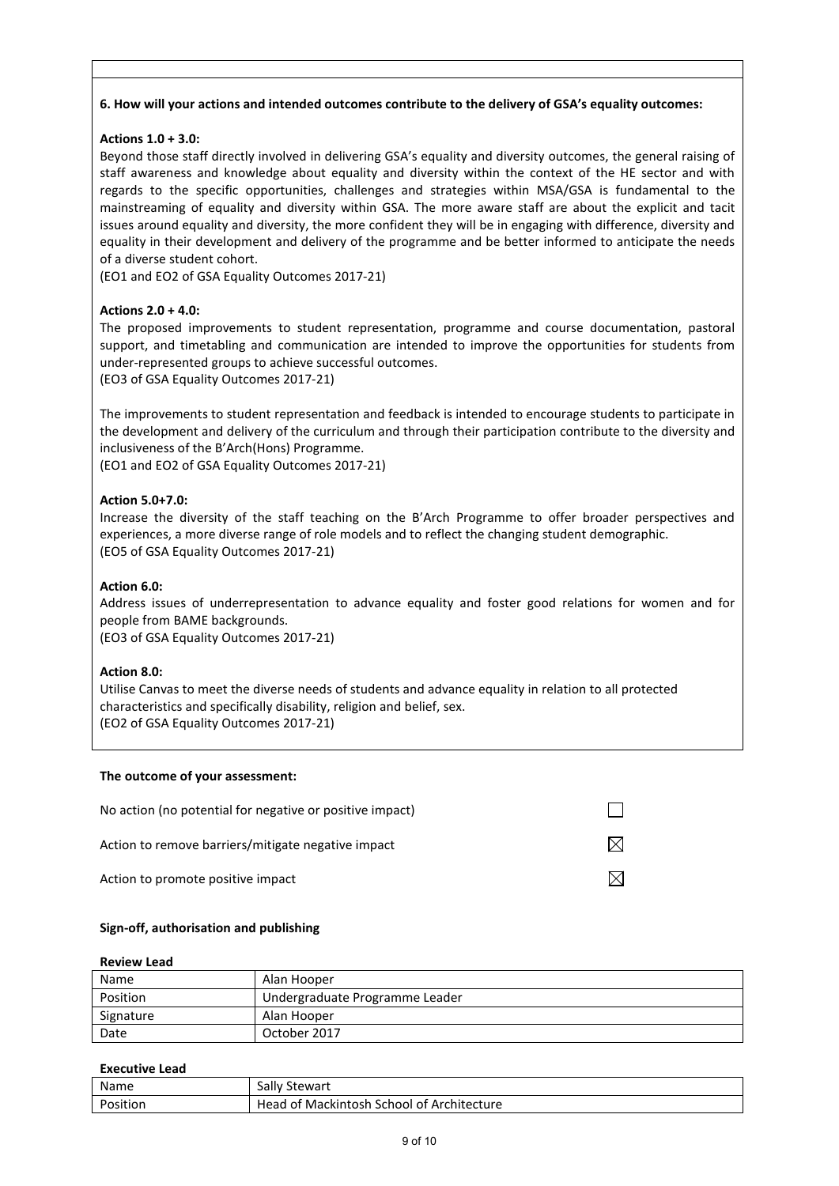# **6. How will your actions and intended outcomes contribute to the delivery of GSA's equality outcomes:**

# **Actions 1.0 + 3.0:**

Beyond those staff directly involved in delivering GSA's equality and diversity outcomes, the general raising of staff awareness and knowledge about equality and diversity within the context of the HE sector and with regards to the specific opportunities, challenges and strategies within MSA/GSA is fundamental to the mainstreaming of equality and diversity within GSA. The more aware staff are about the explicit and tacit issues around equality and diversity, the more confident they will be in engaging with difference, diversity and equality in their development and delivery of the programme and be better informed to anticipate the needs of a diverse student cohort.

(EO1 and EO2 of GSA Equality Outcomes 2017-21)

# **Actions 2.0 + 4.0:**

The proposed improvements to student representation, programme and course documentation, pastoral support, and timetabling and communication are intended to improve the opportunities for students from under-represented groups to achieve successful outcomes.

(EO3 of GSA Equality Outcomes 2017-21)

The improvements to student representation and feedback is intended to encourage students to participate in the development and delivery of the curriculum and through their participation contribute to the diversity and inclusiveness of the B'Arch(Hons) Programme.

(EO1 and EO2 of GSA Equality Outcomes 2017-21)

### **Action 5.0+7.0:**

Increase the diversity of the staff teaching on the B'Arch Programme to offer broader perspectives and experiences, a more diverse range of role models and to reflect the changing student demographic. (EO5 of GSA Equality Outcomes 2017-21)

### **Action 6.0:**

Address issues of underrepresentation to advance equality and foster good relations for women and for people from BAME backgrounds.

(EO3 of GSA Equality Outcomes 2017-21)

### **Action 8.0:**

Utilise Canvas to meet the diverse needs of students and advance equality in relation to all protected characteristics and specifically disability, religion and belief, sex. (EO2 of GSA Equality Outcomes 2017-21)

#### **The outcome of your assessment:**

| No action (no potential for negative or positive impact) |  |
|----------------------------------------------------------|--|
| Action to remove barriers/mitigate negative impact       |  |
| Action to promote positive impact                        |  |

### **Sign-off, authorisation and publishing**

#### **Review Lead**

| Name      | Alan Hooper                    |
|-----------|--------------------------------|
| Position  | Undergraduate Programme Leader |
| Signature | Alan Hooper                    |
| Date      | October 2017                   |

#### **Executive Lead**

| Name     | Sally Stewart                             |
|----------|-------------------------------------------|
| Position | Head of Mackintosh School of Architecture |